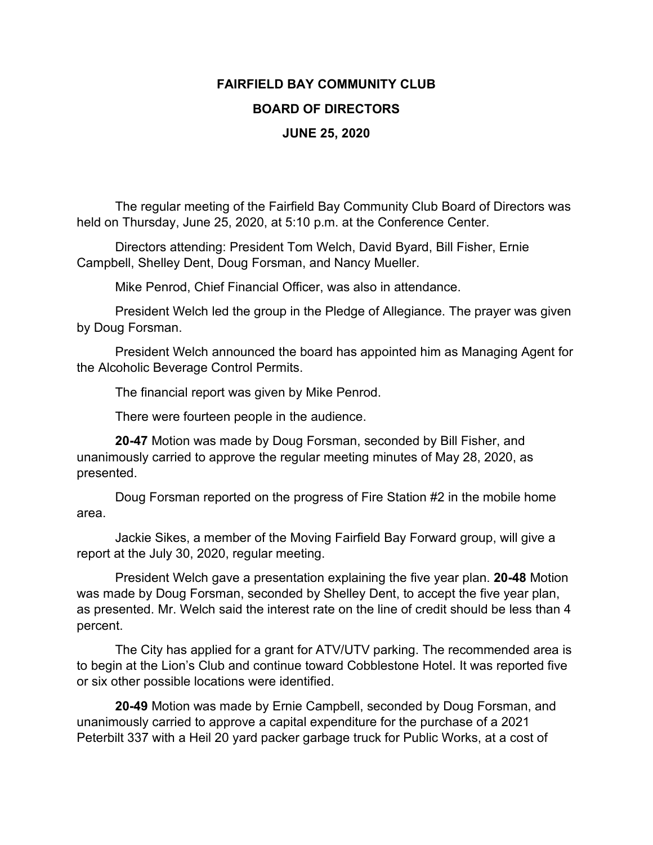## **FAIRFIELD BAY COMMUNITY CLUB BOARD OF DIRECTORS JUNE 25, 2020**

The regular meeting of the Fairfield Bay Community Club Board of Directors was held on Thursday, June 25, 2020, at 5:10 p.m. at the Conference Center.

Directors attending: President Tom Welch, David Byard, Bill Fisher, Ernie Campbell, Shelley Dent, Doug Forsman, and Nancy Mueller.

Mike Penrod, Chief Financial Officer, was also in attendance.

President Welch led the group in the Pledge of Allegiance. The prayer was given by Doug Forsman.

President Welch announced the board has appointed him as Managing Agent for the Alcoholic Beverage Control Permits.

The financial report was given by Mike Penrod.

There were fourteen people in the audience.

**20-47** Motion was made by Doug Forsman, seconded by Bill Fisher, and unanimously carried to approve the regular meeting minutes of May 28, 2020, as presented.

Doug Forsman reported on the progress of Fire Station #2 in the mobile home area.

Jackie Sikes, a member of the Moving Fairfield Bay Forward group, will give a report at the July 30, 2020, regular meeting.

President Welch gave a presentation explaining the five year plan. **20-48** Motion was made by Doug Forsman, seconded by Shelley Dent, to accept the five year plan, as presented. Mr. Welch said the interest rate on the line of credit should be less than 4 percent.

The City has applied for a grant for ATV/UTV parking. The recommended area is to begin at the Lion's Club and continue toward Cobblestone Hotel. It was reported five or six other possible locations were identified.

**20-49** Motion was made by Ernie Campbell, seconded by Doug Forsman, and unanimously carried to approve a capital expenditure for the purchase of a 2021 Peterbilt 337 with a Heil 20 yard packer garbage truck for Public Works, at a cost of